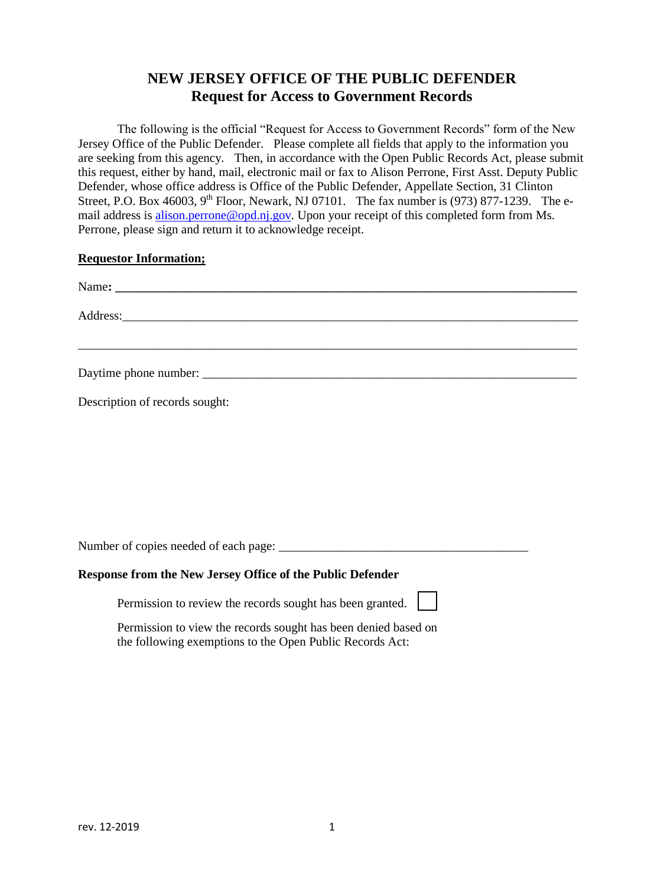## **NEW JERSEY OFFICE OF THE PUBLIC DEFENDER Request for Access to Government Records**

The following is the official "Request for Access to Government Records" form of the New Jersey Office of the Public Defender. Please complete all fields that apply to the information you are seeking from this agency. Then, in accordance with the Open Public Records Act, please submit this request, either by hand, mail, electronic mail or fax to Alison Perrone, First Asst. Deputy Public Defender, whose office address is Office of the Public Defender, Appellate Section, 31 Clinton Street, P.O. Box 46003, 9<sup>th</sup> Floor, Newark, NJ 07101. The fax number is (973) 877-1239. The email address is [alison.perrone@opd.nj.gov.](mailto:alison.perrone@opd.nj.gov) Upon your receipt of this completed form from Ms. Perrone, please sign and return it to acknowledge receipt.

## **Requestor Information;**

| Description of records sought: |
|--------------------------------|

Number of copies needed of each page: \_\_\_\_\_\_\_\_\_\_\_\_\_\_\_\_\_\_\_\_\_\_\_\_\_\_\_\_\_\_\_\_\_\_\_\_\_\_\_\_

## **Response from the New Jersey Office of the Public Defender**

Permission to review the records sought has been granted.

Permission to view the records sought has been denied based on the following exemptions to the Open Public Records Act: